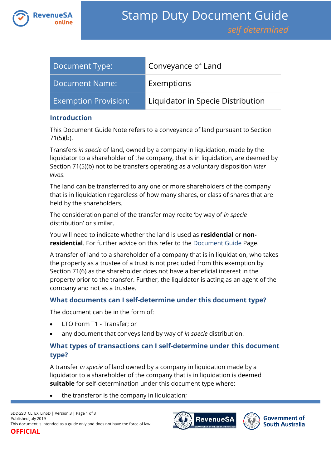

| Document Type:              | Conveyance of Land                |
|-----------------------------|-----------------------------------|
| Document Name:              | Exemptions                        |
| <b>Exemption Provision:</b> | Liquidator in Specie Distribution |

#### **Introduction**

This Document Guide Note refers to a conveyance of land pursuant to Section 71(5)(b).

Transfers *in specie* of land, owned by a company in liquidation, made by the liquidator to a shareholder of the company, that is in liquidation, are deemed by Section 71(5)(b) not to be transfers operating as a voluntary disposition *inter vivos*.

The land can be transferred to any one or more shareholders of the company that is in liquidation regardless of how many shares, or class of shares that are held by the shareholders.

The consideration panel of the transfer may recite 'by way of *in specie*  distribution' or similar.

You will need to indicate whether the land is used as **residential** or **nonresidential**. For further advice on this refer to the [Document Guide](https://www.revenuesa.sa.gov.au/stampduty/stamp-duty-document-guide#Glossary) Page.

A transfer of land to a shareholder of a company that is in liquidation, who takes the property as a trustee of a trust is not precluded from this exemption by Section 71(6) as the shareholder does not have a beneficial interest in the property prior to the transfer. Further, the liquidator is acting as an agent of the company and not as a trustee.

## **What documents can I self-determine under this document type?**

The document can be in the form of:

- LTO Form T1 Transfer; or
- any document that conveys land by way of *in specie* distribution.

# **What types of transactions can I self-determine under this document type?**

A transfer *in specie* of land owned by a company in liquidation made by a liquidator to a shareholder of the company that is in liquidation is deemed **suitable** for self-determination under this document type where:

the transferor is the company in liquidation;



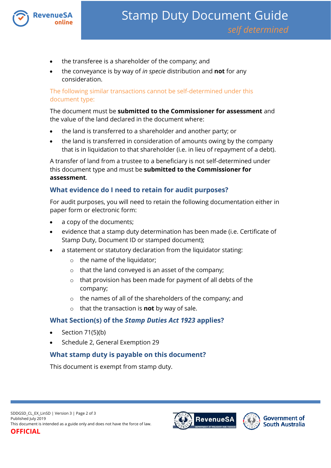

- the transferee is a shareholder of the company; and
- the conveyance is by way of *in specie* distribution and **not** for any consideration.

The following similar transactions cannot be self-determined under this document type:

The document must be **submitted to the Commissioner for assessment** and the value of the land declared in the document where:

- the land is transferred to a shareholder and another party; or
- the land is transferred in consideration of amounts owing by the company that is in liquidation to that shareholder (i.e. in lieu of repayment of a debt).

A transfer of land from a trustee to a beneficiary is not self-determined under this document type and must be **submitted to the Commissioner for assessment**.

## **What evidence do I need to retain for audit purposes?**

For audit purposes, you will need to retain the following documentation either in paper form or electronic form:

- a copy of the documents;
- evidence that a stamp duty determination has been made (i.e. Certificate of Stamp Duty, Document ID or stamped document);
- a statement or statutory declaration from the liquidator stating:
	- o the name of the liquidator;
	- o that the land conveyed is an asset of the company;
	- o that provision has been made for payment of all debts of the company;
	- o the names of all of the shareholders of the company; and
	- o that the transaction is **not** by way of sale.

## **What Section(s) of the** *Stamp Duties Act 1923* **applies?**

- Section 71(5)(b)
- Schedule 2, General Exemption 29

# **What stamp duty is payable on this document?**

This document is exempt from stamp duty.